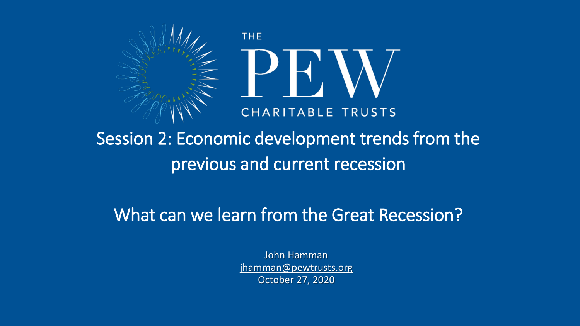

Session 2: Economic development trends from the previous and current recession

What can we learn from the Great Recession?

John Hamman jhamman@pewtrusts.org October 27, 2020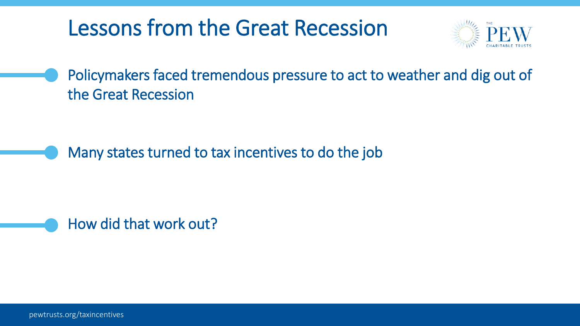## Lessons from the Great Recession



Policymakers faced tremendous pressure to act to weather and dig out of the Great Recession

Many states turned to tax incentives to do the job

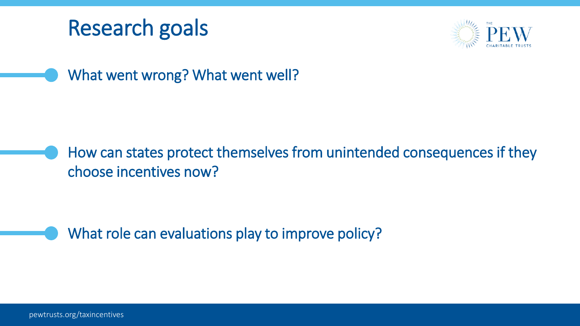



What went wrong? What went well?

How can states protect themselves from unintended consequences if they choose incentives now?

What role can evaluations play to improve policy?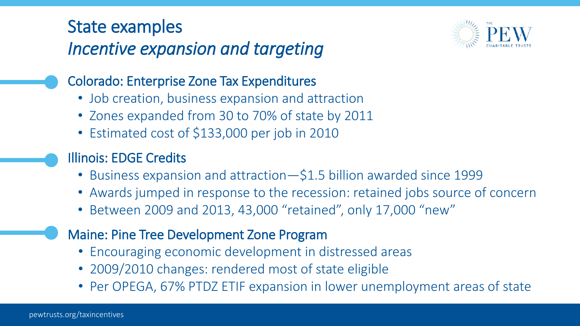#### State examples *Incentive expansion and targeting*



#### Colorado: Enterprise Zone Tax Expenditures

- Job creation, business expansion and attraction
- Zones expanded from 30 to 70% of state by 2011
- Estimated cost of \$133,000 per job in 2010
- Illinois: EDGE Credits
	- Business expansion and attraction—\$1.5 billion awarded since 1999
	- Awards jumped in response to the recession: retained jobs source of concern
	- Between 2009 and 2013, 43,000 "retained", only 17,000 "new"
- Maine: Pine Tree Development Zone Program
	- Encouraging economic development in distressed areas
	- 2009/2010 changes: rendered most of state eligible
	- Per OPEGA, 67% PTDZ ETIF expansion in lower unemployment areas of state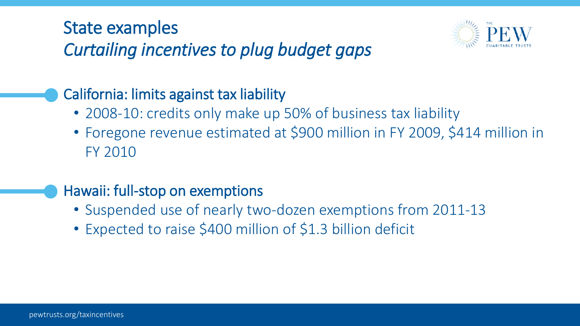#### State examples *Curtailing incentives to plug budget gaps*

#### California: limits against tax liability

- 2008-10: credits only make up 50% of business tax liability
- Foregone revenue estimated at \$900 million in FY 2009, \$414 million in FY 2010

#### Hawaii: full-stop on exemptions

- Suspended use of nearly two-dozen exemptions from 2011-13
- Expected to raise \$400 million of \$1.3 billion deficit

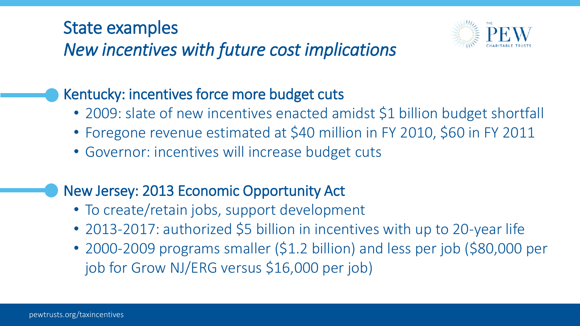#### State examples

### *New incentives with future cost implications*

#### Kentucky: incentives force more budget cuts

- 2009: slate of new incentives enacted amidst \$1 billion budget shortfall
- Foregone revenue estimated at \$40 million in FY 2010, \$60 in FY 2011
- Governor: incentives will increase budget cuts

#### New Jersey: 2013 Economic Opportunity Act

- To create/retain jobs, support development
- 2013-2017: authorized \$5 billion in incentives with up to 20-year life
- 2000-2009 programs smaller (\$1.2 billion) and less per job (\$80,000 per job for Grow NJ/ERG versus \$16,000 per job)

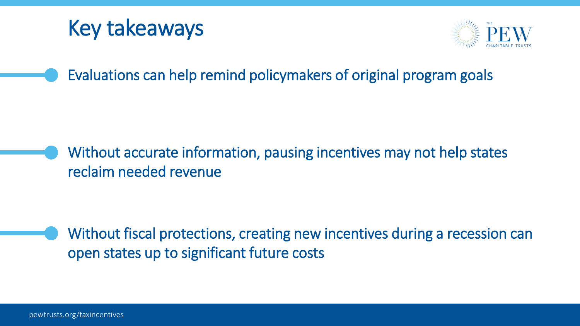## Key takeaways



Evaluations can help remind policymakers of original program goals

Without accurate information, pausing incentives may not help states reclaim needed revenue

Without fiscal protections, creating new incentives during a recession can open states up to significant future costs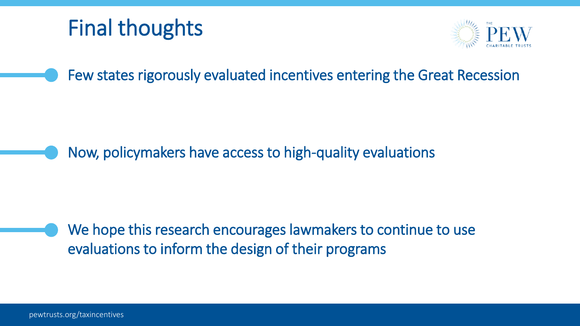# Final thoughts



Few states rigorously evaluated incentives entering the Great Recession

Now, policymakers have access to high-quality evaluations

We hope this research encourages lawmakers to continue to use evaluations to inform the design of their programs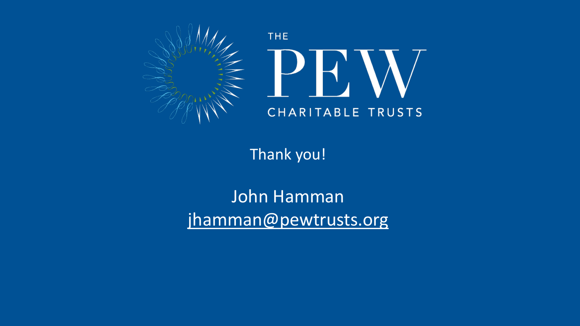

Thank you!

John Hamman jhamman@pewtrusts.org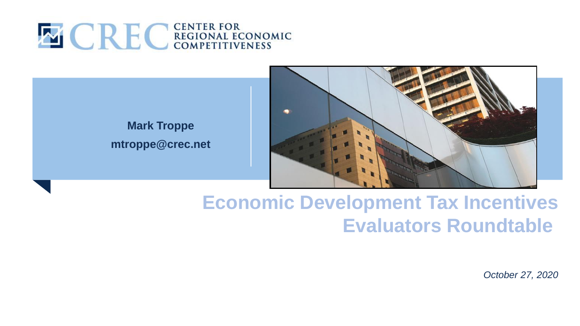

#### **Mark Troppe mtroppe@crec.net**



### **Economic Development Tax Incentives Evaluators Roundtable**

*October 27, 2020*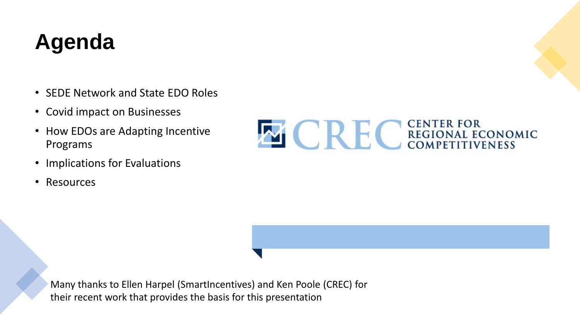# **Agenda**

- SEDE Network and State EDO Roles
- Covid impact on Businesses
- How EDOs are Adapting Incentive Programs
- Implications for Evaluations
- Resources



Many thanks to Ellen Harpel (SmartIncentives) and Ken Poole (CREC) for their recent work that provides the basis for this presentation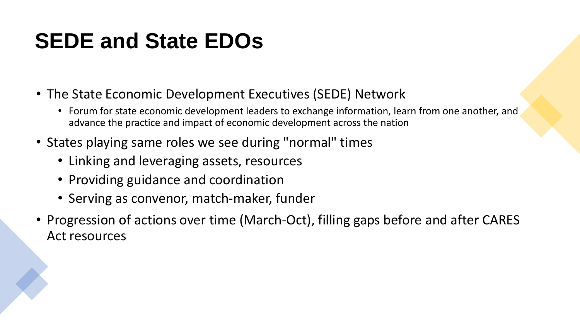# **SEDE and State EDOs**

- The State Economic Development Executives (SEDE) Network
	- Forum for state economic development leaders to exchange information, learn from one another, and advance the practice and impact of economic development across the nation
- States playing same roles we see during "normal" times
	- Linking and leveraging assets, resources
	- Providing guidance and coordination
	- Serving as convenor, match-maker, funder
- Progression of actions over time (March-Oct), filling gaps before and after CARES Act resources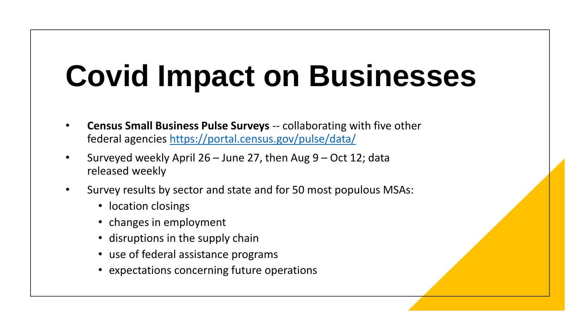# **Covid Impact on Businesses**

- **Census Small Business Pulse Surveys** -- collaborating with five other federal agencies <https://portal.census.gov/pulse/data/>
- Surveyed weekly April 26 June 27, then Aug 9 Oct 12; data released weekly
- Survey results by sector and state and for 50 most populous MSAs:
	- location closings
	- changes in employment
	- disruptions in the supply chain
	- use of federal assistance programs
	- expectations concerning future operations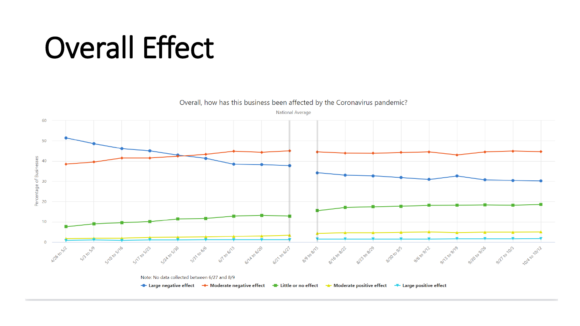# Overall Effect

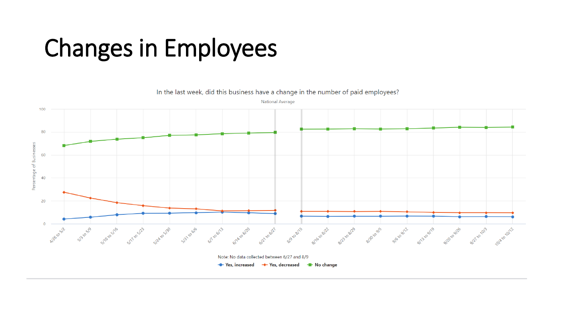# Changes in Employees

In the last week, did this business have a change in the number of paid employees? **National Average** 100 80 Percentage of Businesses 60 40 20 Al20 to 5/2 6/7 10 6/13 S/Axo6/20 G12 to 6/27 8/9 to 8/15 alletosle anziosito angualis are alla angualis anticalis anticalis alternative Specify sheethe strests specify specifies Note: No data collected between 6/27 and 8/9

→ Yes, increased → Yes, decreased → No change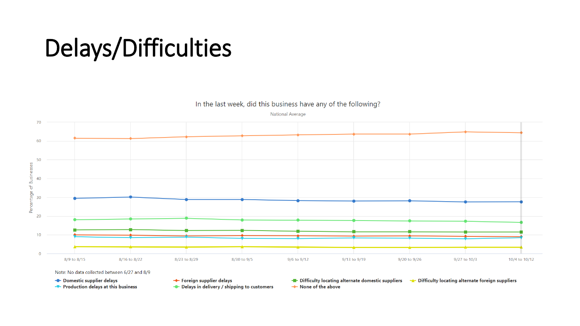# Delays/Difficulties

In the last week, did this business have any of the following? **National Average** 



+ Foreign supplier delays

Delays in delivery / shipping to customers ← Production delays at this business

- Difficulty locating alternate domestic suppliers - A Difficulty locating alternate foreign suppliers

None of the above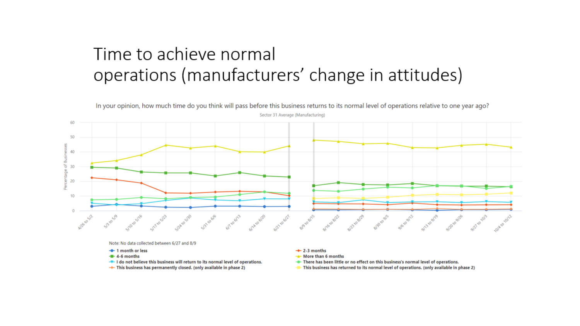#### Time to achieve normal operations (manufacturers' change in attitudes)



In your opinion, how much time do you think will pass before this business returns to its normal level of operations relative to one year ago?

Note: No data collected between 6/27 and 8/9

- 1 month or less
- $-4 6$  months
- T I do not believe this business will return to its normal level of operations.
- This business has permanently closed. (only available in phase 2)
- $+ 2-3$  months
- -\* More than 6 months
- There has been little or no effect on this business's normal level of operations.
- This business has returned to its normal level of operations. (only available in phase 2)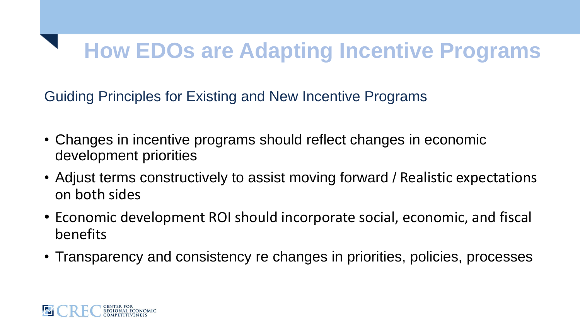# **How EDOs are Adapting Incentive Programs**

Guiding Principles for Existing and New Incentive Programs

- Changes in incentive programs should reflect changes in economic development priorities
- Adjust terms constructively to assist moving forward / Realistic expectations on both sides
- Economic development ROI should incorporate social, economic, and fiscal benefits
- Transparency and consistency re changes in priorities, policies, processes

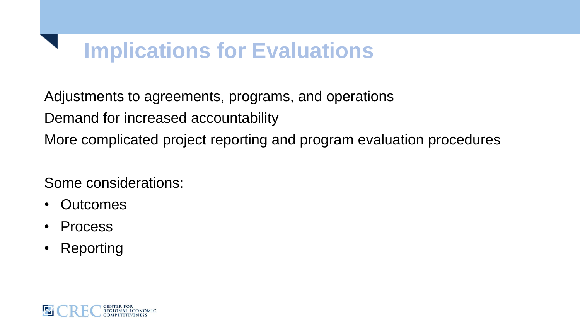## **Implications for Evaluations**

Adjustments to agreements, programs, and operations

Demand for increased accountability

More complicated project reporting and program evaluation procedures

Some considerations:

- Outcomes
- **Process**
- **Reporting**

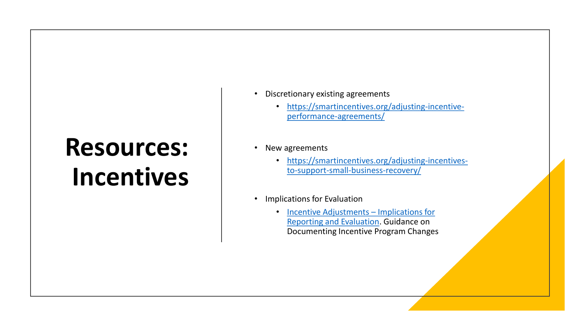# **Resources: Incentives**

- Discretionary existing agreements
	- [https://smartincentives.org/adjusting-incentive](https://smartincentives.org/adjusting-incentive-performance-agreements/)performance-agreements/

#### • New agreements

- [https://smartincentives.org/adjusting-incentives](https://smartincentives.org/adjusting-incentives-to-support-small-business-recovery/)to-support-small-business-recovery/
- Implications for Evaluation
	- Incentive Adjustments Implications for [Reporting and Evaluation. Guidance on](https://smartincentives.org/wp-content/uploads/Incentive-Adjustments-%E2%80%93-Implications-for-Reporting-and-Evaluation-SEDE-082820-1.pdf)  Documenting Incentive Program Changes